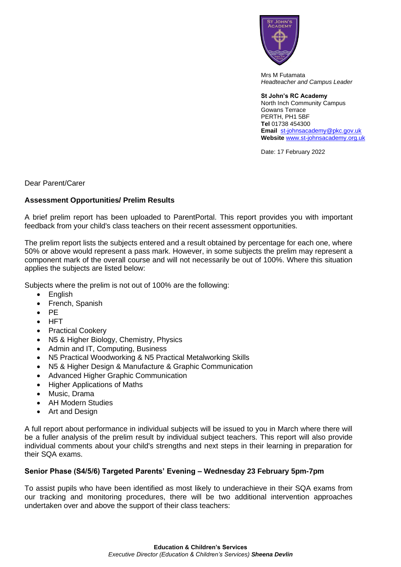

Mrs M Futamata *Headteacher and Campus Leader*

**St John's RC Academy**  North Inch Community Campus Gowans Terrace PERTH, PH1 5BF **Tel** 01738 454300 **Email** [st-johnsacademy@pkc.gov.uk](mailto:st-johnsacademy@pkc.gov.uk) **Website** [www.st-johnsacademy.org.uk](http://www.st-johnsacademy.org.uk/)

Date: 17 February 2022

Dear Parent/Carer

## **Assessment Opportunities/ Prelim Results**

A brief prelim report has been uploaded to ParentPortal. This report provides you with important feedback from your child's class teachers on their recent assessment opportunities.

The prelim report lists the subjects entered and a result obtained by percentage for each one, where 50% or above would represent a pass mark. However, in some subjects the prelim may represent a component mark of the overall course and will not necessarily be out of 100%. Where this situation applies the subjects are listed below:

Subjects where the prelim is not out of 100% are the following:

- English
- French, Spanish
- PE
- HFT
- Practical Cookery
- N5 & Higher Biology, Chemistry, Physics
- Admin and IT, Computing, Business
- N5 Practical Woodworking & N5 Practical Metalworking Skills
- N5 & Higher Design & Manufacture & Graphic Communication
- Advanced Higher Graphic Communication
- Higher Applications of Maths
- Music, Drama
- AH Modern Studies
- Art and Design

A full report about performance in individual subjects will be issued to you in March where there will be a fuller analysis of the prelim result by individual subject teachers. This report will also provide individual comments about your child's strengths and next steps in their learning in preparation for their SQA exams.

## **Senior Phase (S4/5/6) Targeted Parents' Evening – Wednesday 23 February 5pm-7pm**

To assist pupils who have been identified as most likely to underachieve in their SQA exams from our tracking and monitoring procedures, there will be two additional intervention approaches undertaken over and above the support of their class teachers: